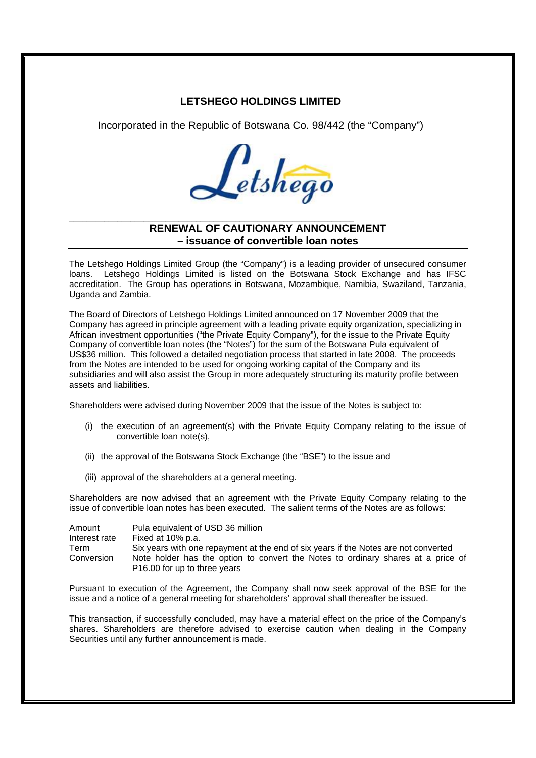## **LETSHEGO HOLDINGS LIMITED**

Incorporated in the Republic of Botswana Co. 98/442 (the "Company")



## **RENEWAL OF CAUTIONARY ANNOUNCEMENT – issuance of convertible loan notes**

\_\_\_\_\_\_\_\_\_\_\_\_\_\_\_\_\_\_\_\_\_\_\_\_\_\_\_\_\_\_\_\_\_\_\_\_\_\_\_\_\_\_\_\_\_\_\_\_\_\_\_\_\_\_\_\_\_\_\_\_\_\_\_\_\_

The Letshego Holdings Limited Group (the "Company") is a leading provider of unsecured consumer loans. Letshego Holdings Limited is listed on the Botswana Stock Exchange and has IFSC accreditation. The Group has operations in Botswana, Mozambique, Namibia, Swaziland, Tanzania, Uganda and Zambia.

The Board of Directors of Letshego Holdings Limited announced on 17 November 2009 that the Company has agreed in principle agreement with a leading private equity organization, specializing in African investment opportunities ("the Private Equity Company"), for the issue to the Private Equity Company of convertible loan notes (the "Notes") for the sum of the Botswana Pula equivalent of US\$36 million. This followed a detailed negotiation process that started in late 2008. The proceeds from the Notes are intended to be used for ongoing working capital of the Company and its subsidiaries and will also assist the Group in more adequately structuring its maturity profile between assets and liabilities.

Shareholders were advised during November 2009 that the issue of the Notes is subject to:

- (i) the execution of an agreement(s) with the Private Equity Company relating to the issue of convertible loan note(s),
- (ii) the approval of the Botswana Stock Exchange (the "BSE") to the issue and
- (iii) approval of the shareholders at a general meeting.

Shareholders are now advised that an agreement with the Private Equity Company relating to the issue of convertible loan notes has been executed. The salient terms of the Notes are as follows:

| Amount        | Pula equivalent of USD 36 million                                                                                |
|---------------|------------------------------------------------------------------------------------------------------------------|
| Interest rate | Fixed at 10% p.a.                                                                                                |
| Term          | Six years with one repayment at the end of six years if the Notes are not converted                              |
| Conversion    | Note holder has the option to convert the Notes to ordinary shares at a price of<br>P16.00 for up to three years |

Pursuant to execution of the Agreement, the Company shall now seek approval of the BSE for the issue and a notice of a general meeting for shareholders' approval shall thereafter be issued.

This transaction, if successfully concluded, may have a material effect on the price of the Company's shares. Shareholders are therefore advised to exercise caution when dealing in the Company Securities until any further announcement is made.